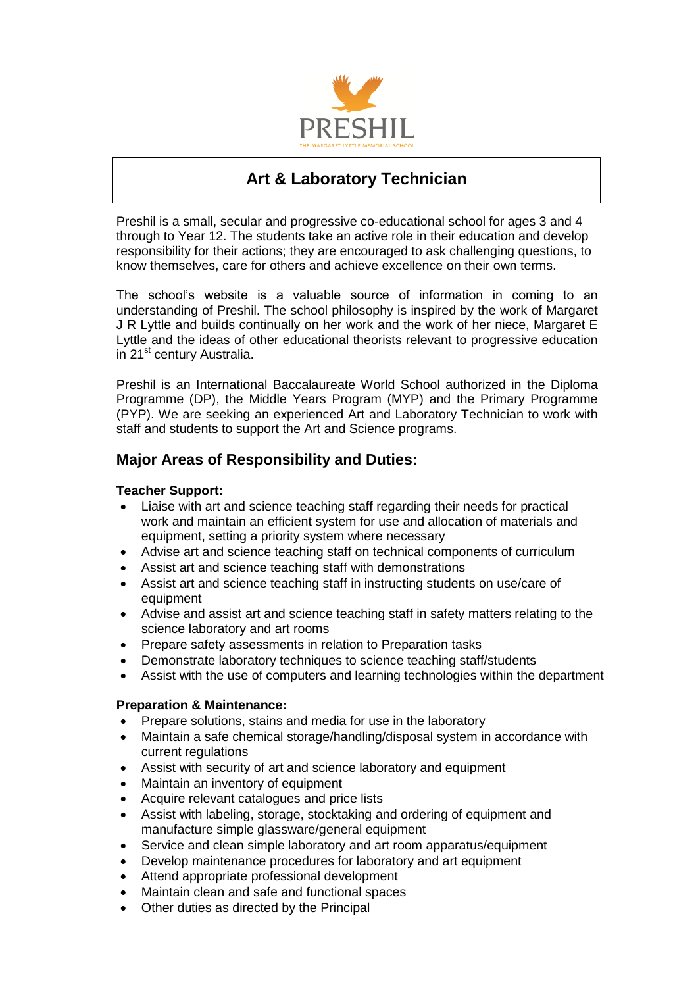

# **Art & Laboratory Technician**

Preshil is a small, secular and progressive co-educational school for ages 3 and 4 through to Year 12. The students take an active role in their education and develop responsibility for their actions; they are encouraged to ask challenging questions, to know themselves, care for others and achieve excellence on their own terms.

The school's website is a valuable source of information in coming to an understanding of Preshil. The school philosophy is inspired by the work of Margaret J R Lyttle and builds continually on her work and the work of her niece, Margaret E Lyttle and the ideas of other educational theorists relevant to progressive education in 21<sup>st</sup> century Australia.

Preshil is an International Baccalaureate World School authorized in the Diploma Programme (DP), the Middle Years Program (MYP) and the Primary Programme (PYP). We are seeking an experienced Art and Laboratory Technician to work with staff and students to support the Art and Science programs.

# **Major Areas of Responsibility and Duties:**

# **Teacher Support:**

- Liaise with art and science teaching staff regarding their needs for practical work and maintain an efficient system for use and allocation of materials and equipment, setting a priority system where necessary
- Advise art and science teaching staff on technical components of curriculum
- Assist art and science teaching staff with demonstrations
- Assist art and science teaching staff in instructing students on use/care of equipment
- Advise and assist art and science teaching staff in safety matters relating to the science laboratory and art rooms
- Prepare safety assessments in relation to Preparation tasks
- Demonstrate laboratory techniques to science teaching staff/students
- Assist with the use of computers and learning technologies within the department

#### **Preparation & Maintenance:**

- Prepare solutions, stains and media for use in the laboratory
- Maintain a safe chemical storage/handling/disposal system in accordance with current regulations
- Assist with security of art and science laboratory and equipment
- Maintain an inventory of equipment
- Acquire relevant catalogues and price lists
- Assist with labeling, storage, stocktaking and ordering of equipment and manufacture simple glassware/general equipment
- Service and clean simple laboratory and art room apparatus/equipment
- Develop maintenance procedures for laboratory and art equipment
- Attend appropriate professional development
- Maintain clean and safe and functional spaces
- Other duties as directed by the Principal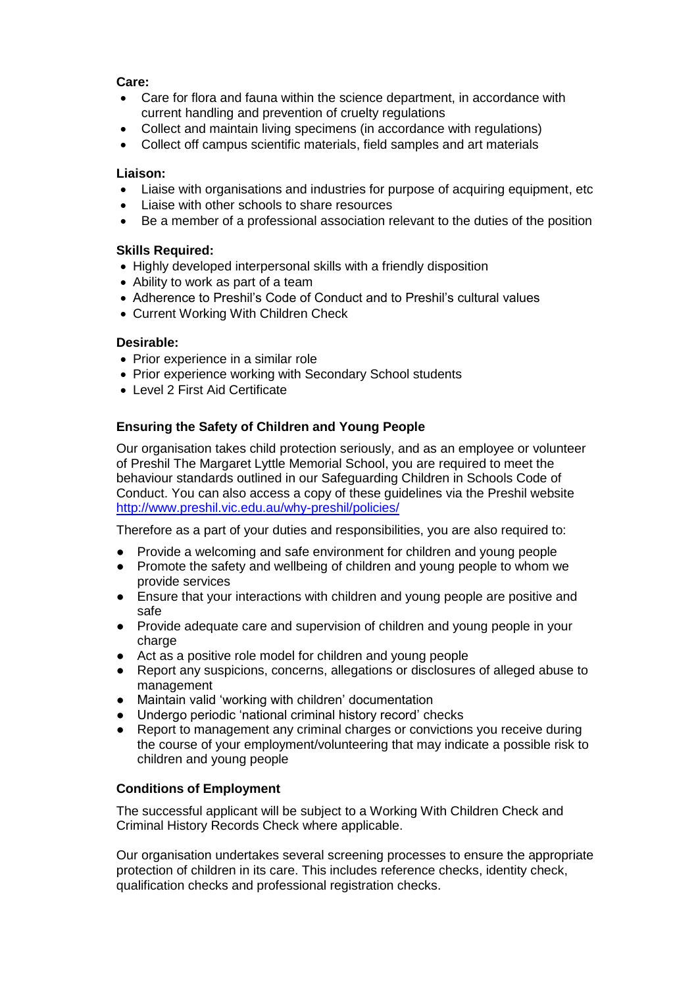# **Care:**

- Care for flora and fauna within the science department, in accordance with current handling and prevention of cruelty regulations
- Collect and maintain living specimens (in accordance with regulations)
- Collect off campus scientific materials, field samples and art materials

#### **Liaison:**

- Liaise with organisations and industries for purpose of acquiring equipment, etc
- Liaise with other schools to share resources
- Be a member of a professional association relevant to the duties of the position

#### **Skills Required:**

- Highly developed interpersonal skills with a friendly disposition
- Ability to work as part of a team
- Adherence to Preshil's Code of Conduct and to Preshil's cultural values
- Current Working With Children Check

# **Desirable:**

- Prior experience in a similar role
- Prior experience working with Secondary School students
- Level 2 First Aid Certificate

# **Ensuring the Safety of Children and Young People**

Our organisation takes child protection seriously, and as an employee or volunteer of Preshil The Margaret Lyttle Memorial School, you are required to meet the behaviour standards outlined in our Safeguarding Children in Schools Code of Conduct. You can also access a copy of these guidelines via the Preshil website <http://www.preshil.vic.edu.au/why-preshil/policies/>

Therefore as a part of your duties and responsibilities, you are also required to:

- Provide a welcoming and safe environment for children and young people
- Promote the safety and wellbeing of children and young people to whom we provide services
- Ensure that your interactions with children and young people are positive and safe
- Provide adequate care and supervision of children and young people in your charge
- Act as a positive role model for children and young people
- Report any suspicions, concerns, allegations or disclosures of alleged abuse to management
- Maintain valid 'working with children' documentation
- Undergo periodic 'national criminal history record' checks
- Report to management any criminal charges or convictions you receive during the course of your employment/volunteering that may indicate a possible risk to children and young people

#### **Conditions of Employment**

The successful applicant will be subject to a Working With Children Check and Criminal History Records Check where applicable.

Our organisation undertakes several screening processes to ensure the appropriate protection of children in its care. This includes reference checks, identity check, qualification checks and professional registration checks.